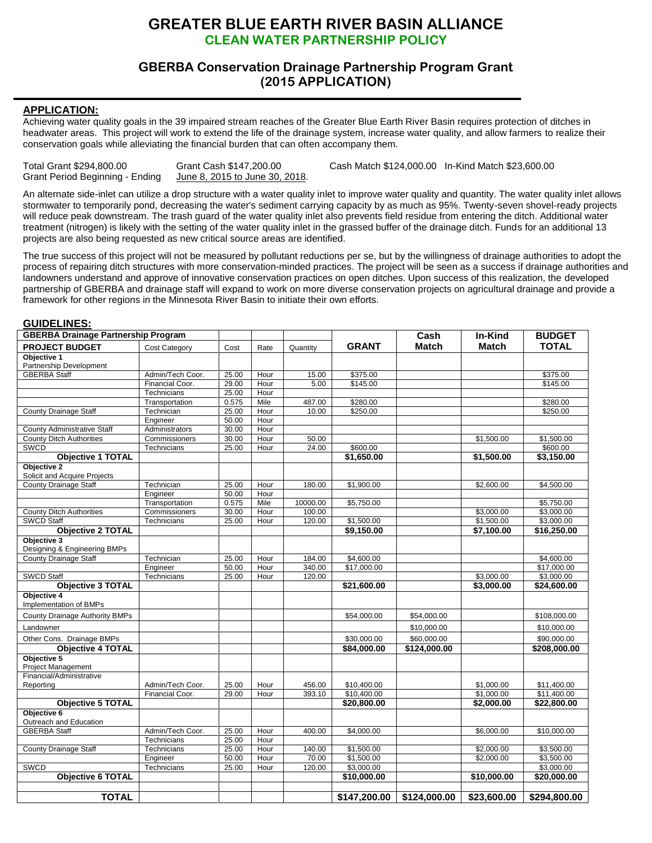## **GREATER BLUE EARTH RIVER BASIN ALLIANCE CLEAN WATER PARTNERSHIP POLICY**

## **GBERBA Conservation Drainage Partnership Program Grant (2015 APPLICATION)**

## **APPLICATION:**

Achieving water quality goals in the 39 impaired stream reaches of the Greater Blue Earth River Basin requires protection of ditches in headwater areas. This project will work to extend the life of the drainage system, increase water quality, and allow farmers to realize their conservation goals while alleviating the financial burden that can often accompany them.

| Total Grant \$294,800.00        | Grant Cash \$147,200.00        | Cash Match \$124,000.00 In-Kind Match \$23,600.00 |  |
|---------------------------------|--------------------------------|---------------------------------------------------|--|
| Grant Period Beginning - Ending | June 8, 2015 to June 30, 2018. |                                                   |  |

An alternate side-inlet can utilize a drop structure with a water quality inlet to improve water quality and quantity. The water quality inlet allows stormwater to temporarily pond, decreasing the water's sediment carrying capacity by as much as 95%. Twenty-seven shovel-ready projects will reduce peak downstream. The trash guard of the water quality inlet also prevents field residue from entering the ditch. Additional water treatment (nitrogen) is likely with the setting of the water quality inlet in the grassed buffer of the drainage ditch. Funds for an additional 13 projects are also being requested as new critical source areas are identified.

The true success of this project will not be measured by pollutant reductions per se, but by the willingness of drainage authorities to adopt the process of repairing ditch structures with more conservation-minded practices. The project will be seen as a success if drainage authorities and landowners understand and approve of innovative conservation practices on open ditches. Upon success of this realization, the developed partnership of GBERBA and drainage staff will expand to work on more diverse conservation projects on agricultural drainage and provide a framework for other regions in the Minnesota River Basin to initiate their own efforts.

## **GUIDELINES:**

| <b>GBERBA Drainage Partnership Program</b>  |                            |                |              |          |              | Cash         | In-Kind      | <b>BUDGET</b> |
|---------------------------------------------|----------------------------|----------------|--------------|----------|--------------|--------------|--------------|---------------|
| <b>PROJECT BUDGET</b>                       | <b>Cost Category</b>       | Cost           | Rate         | Quantity | <b>GRANT</b> | <b>Match</b> | <b>Match</b> | <b>TOTAL</b>  |
| Objective 1                                 |                            |                |              |          |              |              |              |               |
| Partnership Development                     |                            |                |              |          |              |              |              |               |
| <b>GBERBA Staff</b>                         | Admin/Tech Coor.           | 25.00          | Hour         | 15.00    | \$375.00     |              |              | \$375.00      |
|                                             | Financial Coor.            | 29.00          | Hour         | 5.00     | \$145.00     |              |              | \$145.00      |
|                                             | Technicians                | 25.00          | Hour         |          |              |              |              |               |
|                                             | Transportation             | 0.575          | Mile         | 487.00   | \$280.00     |              |              | \$280.00      |
| <b>County Drainage Staff</b>                | Technician                 | 25.00          | Hour         | 10.00    | \$250.00     |              |              | \$250.00      |
| <b>County Administrative Staff</b>          | Engineer<br>Administrators | 50.00<br>30.00 | Hour<br>Hour |          |              |              |              |               |
| <b>County Ditch Authorities</b>             | Commissioners              | 30.00          | Hour         | 50.00    |              |              | \$1,500.00   | \$1,500.00    |
| SWCD                                        | Technicians                | 25.00          | Hour         | 24.00    | \$600.00     |              |              | \$600.00      |
| <b>Objective 1 TOTAL</b>                    |                            |                |              |          | \$1,650.00   |              | \$1,500.00   | \$3,150.00    |
| Objective 2                                 |                            |                |              |          |              |              |              |               |
| Solicit and Acquire Projects                |                            |                |              |          |              |              |              |               |
| <b>County Drainage Staff</b>                | Technician                 | 25.00          | Hour         | 180.00   | \$1,900.00   |              | \$2,600.00   | \$4,500.00    |
|                                             | Engineer                   | 50.00          | Hour         |          |              |              |              |               |
|                                             | Transportation             | 0.575          | Mile         | 10000.00 | \$5,750.00   |              |              | \$5,750.00    |
| <b>County Ditch Authorities</b>             | Commissioners              | 30.00          | Hour         | 100.00   |              |              | \$3,000.00   | \$3,000.00    |
| <b>SWCD Staff</b>                           | Technicians                | 25.00          | Hour         | 120.00   | \$1,500.00   |              | \$1,500.00   | \$3,000.00    |
| <b>Objective 2 TOTAL</b>                    |                            |                |              |          | \$9,150.00   |              | \$7,100.00   | \$16,250.00   |
| Objective 3<br>Designing & Engineering BMPs |                            |                |              |          |              |              |              |               |
| <b>County Drainage Staff</b>                | Technician                 | 25.00          | Hour         | 184.00   | \$4,600.00   |              |              | \$4,600.00    |
|                                             | Engineer                   | 50.00          | Hour         | 340.00   | \$17,000.00  |              |              | \$17,000.00   |
| <b>SWCD Staff</b>                           | Technicians                | 25.00          | Hour         | 120.00   |              |              | \$3,000.00   | \$3,000.00    |
| <b>Objective 3 TOTAL</b>                    |                            |                |              |          | \$21,600.00  |              | \$3,000.00   | \$24,600.00   |
| Objective 4                                 |                            |                |              |          |              |              |              |               |
| Implementation of BMPs                      |                            |                |              |          |              |              |              |               |
| County Drainage Authority BMPs              |                            |                |              |          | \$54,000.00  | \$54,000.00  |              | \$108,000.00  |
| Landowner                                   |                            |                |              |          |              | \$10,000.00  |              | \$10,000.00   |
| Other Cons. Drainage BMPs                   |                            |                |              |          | \$30,000.00  | \$60,000.00  |              | \$90,000.00   |
| <b>Obiective 4 TOTAL</b>                    |                            |                |              |          | \$84,000.00  | \$124,000.00 |              | \$208,000.00  |
| Objective 5<br><b>Project Management</b>    |                            |                |              |          |              |              |              |               |
| Financial/Administrative                    |                            |                |              |          |              |              |              |               |
| Reporting                                   | Admin/Tech Coor.           | 25.00          | Hour         | 456.00   | \$10,400.00  |              | \$1,000.00   | \$11,400.00   |
|                                             | Financial Coor.            | 29.00          | Hour         | 393.10   | \$10,400.00  |              | \$1,000.00   | \$11,400.00   |
| <b>Objective 5 TOTAL</b><br>Objective 6     |                            |                |              |          | \$20,800.00  |              | \$2,000.00   | \$22,800.00   |
| Outreach and Education                      |                            |                |              |          |              |              |              |               |
| <b>GBERBA Staff</b>                         | Admin/Tech Coor.           | 25.00          | Hour         | 400.00   | \$4,000.00   |              | \$6,000.00   | \$10,000.00   |
|                                             | Technicians                | 25.00          | Hour         |          |              |              |              |               |
| <b>County Drainage Staff</b>                | Technicians                | 25.00          | Hour         | 140.00   | \$1,500.00   |              | \$2,000.00   | \$3,500.00    |
|                                             | Engineer                   | 50.00          | Hour         | 70.00    | \$1,500.00   |              | \$2,000.00   | \$3,500.00    |
| <b>SWCD</b>                                 | Technicians                | 25.00          | Hour         | 120.00   | \$3,000.00   |              |              | \$3,000.00    |
| <b>Objective 6 TOTAL</b>                    |                            |                |              |          | \$10,000.00  |              | \$10,000.00  | \$20,000.00   |
|                                             |                            |                |              |          |              |              |              |               |
| <b>TOTAL</b>                                |                            |                |              |          | \$147,200.00 | \$124,000.00 | \$23,600.00  | \$294,800.00  |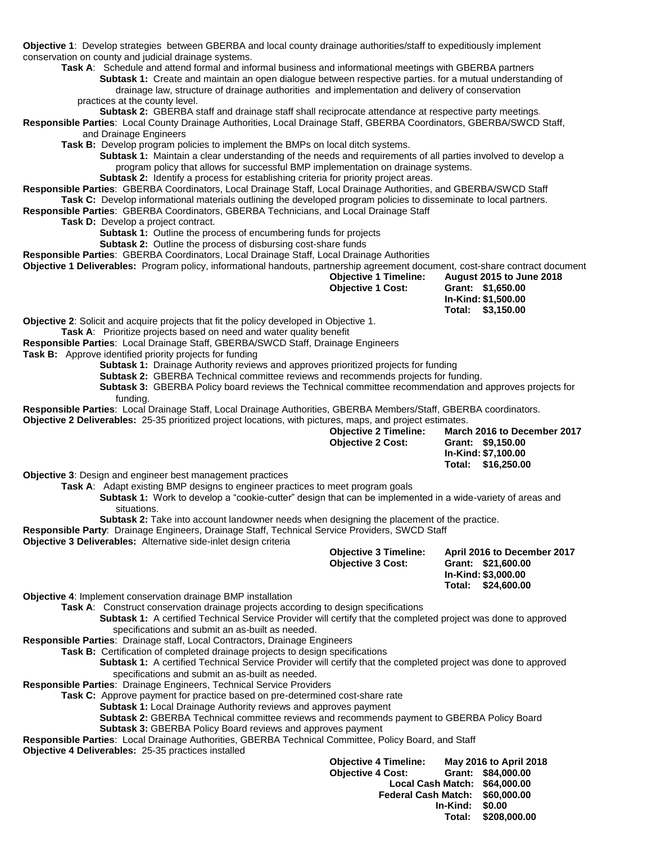**Objective 1**: Develop strategies between GBERBA and local county drainage authorities/staff to expeditiously implement conservation on county and judicial drainage systems.

**Task A**: Schedule and attend formal and informal business and informational meetings with GBERBA partners **Subtask 1:** Create and maintain an open dialogue between respective parties. for a mutual understanding of drainage law, structure of drainage authorities and implementation and delivery of conservation

practices at the county level.

**Subtask 2:** GBERBA staff and drainage staff shall reciprocate attendance at respective party meetings*.*

**Responsible Parties**: Local County Drainage Authorities, Local Drainage Staff, GBERBA Coordinators, GBERBA/SWCD Staff, and Drainage Engineers

**Task B:** Develop program policies to implement the BMPs on local ditch systems.

**Subtask 1:** Maintain a clear understanding of the needs and requirements of all parties involved to develop a program policy that allows for successful BMP implementation on drainage systems.

**Subtask 2:** Identify a process for establishing criteria for priority project areas.

**Responsible Parties**: GBERBA Coordinators, Local Drainage Staff, Local Drainage Authorities, and GBERBA/SWCD Staff **Task C:** Develop informational materials outlining the developed program policies to disseminate to local partners.

**Responsible Parties**: GBERBA Coordinators, GBERBA Technicians, and Local Drainage Staff

**Task D:** Develop a project contract.

**Subtask 1:** Outline the process of encumbering funds for projects

**Subtask 2:** Outline the process of disbursing cost-share funds

**Responsible Parties**: GBERBA Coordinators, Local Drainage Staff, Local Drainage Authorities

**Objective 1 Deliverables:** Program policy, informational handouts, partnership agreement document*,* cost-share contract document

| <b>Objective 1 Timeline:</b> | <b>August 2015 to June 2018</b> |
|------------------------------|---------------------------------|
| <b>Objective 1 Cost:</b>     | Grant: \$1,650.00               |
|                              | In-Kind: \$1.500.00             |
|                              | Total: \$3.150.00               |

**Objective 2**: Solicit and acquire projects that fit the policy developed in Objective 1.

**Task A**: Prioritize projects based on need and water quality benefit

**Responsible Parties**: Local Drainage Staff, GBERBA/SWCD Staff, Drainage Engineers

**Task B:** Approve identified priority projects for funding

**Subtask 1:** Drainage Authority reviews and approves prioritized projects for funding

**Subtask 2:** GBERBA Technical committee reviews and recommends projects for funding.

**Subtask 3:** GBERBA Policy board reviews the Technical committee recommendation and approves projects for funding.

**Responsible Parties**: Local Drainage Staff, Local Drainage Authorities, GBERBA Members/Staff, GBERBA coordinators. **Objective 2 Deliverables:** 25-35 prioritized project locations, with pictures, maps, and project estimates.

|                                                                                                                                                                                                                                                           | <b>Objective 2 Timeline:</b><br><b>Objective 2 Cost:</b> | March 2016 to December 2017<br>Grant: \$9,150.00<br>In-Kind: \$7,100.00<br>\$16,250.00<br>Total:  |
|-----------------------------------------------------------------------------------------------------------------------------------------------------------------------------------------------------------------------------------------------------------|----------------------------------------------------------|---------------------------------------------------------------------------------------------------|
| <b>Objective 3: Design and engineer best management practices</b>                                                                                                                                                                                         |                                                          |                                                                                                   |
| Task A: Adapt existing BMP designs to engineer practices to meet program goals<br><b>Subtask 1:</b> Work to develop a "cookie-cutter" design that can be implemented in a wide-variety of areas and<br>situations.                                        |                                                          |                                                                                                   |
| Subtask 2: Take into account landowner needs when designing the placement of the practice.                                                                                                                                                                |                                                          |                                                                                                   |
| Responsible Party: Drainage Engineers, Drainage Staff, Technical Service Providers, SWCD Staff                                                                                                                                                            |                                                          |                                                                                                   |
| Objective 3 Deliverables: Alternative side-inlet design criteria                                                                                                                                                                                          |                                                          |                                                                                                   |
|                                                                                                                                                                                                                                                           | <b>Objective 3 Timeline:</b><br><b>Objective 3 Cost:</b> | April 2016 to December 2017<br>Grant: \$21,600.00<br>In-Kind: \$3,000.00<br>\$24,600.00<br>Total: |
| <b>Objective 4: Implement conservation drainage BMP installation</b>                                                                                                                                                                                      |                                                          |                                                                                                   |
| Task A: Construct conservation drainage projects according to design specifications<br>Subtask 1: A certified Technical Service Provider will certify that the completed project was done to approved<br>specifications and submit an as-built as needed. |                                                          |                                                                                                   |
| Responsible Parties: Drainage staff, Local Contractors, Drainage Engineers                                                                                                                                                                                |                                                          |                                                                                                   |
| <b>Task B:</b> Certification of completed drainage projects to design specifications                                                                                                                                                                      |                                                          |                                                                                                   |
| <b>Subtask 1:</b> A certified Technical Service Provider will certify that the completed project was done to approved<br>specifications and submit an as-built as needed.                                                                                 |                                                          |                                                                                                   |
| Responsible Parties: Drainage Engineers, Technical Service Providers                                                                                                                                                                                      |                                                          |                                                                                                   |
| Task C: Approve payment for practice based on pre-determined cost-share rate                                                                                                                                                                              |                                                          |                                                                                                   |
| <b>Subtask 1:</b> Local Drainage Authority reviews and approves payment                                                                                                                                                                                   |                                                          |                                                                                                   |
| Subtask 2: GBERBA Technical committee reviews and recommends payment to GBERBA Policy Board                                                                                                                                                               |                                                          |                                                                                                   |
| <b>Subtask 3: GBERBA Policy Board reviews and approves payment</b>                                                                                                                                                                                        |                                                          |                                                                                                   |
| Responsible Parties: Local Drainage Authorities, GBERBA Technical Committee, Policy Board, and Staff<br><b>Objective 4 Deliverables: 25-35 practices installed</b>                                                                                        |                                                          |                                                                                                   |

**Objective 4 Timeline: May 2016 to April 2018 Objective 4 Cost: Grant: \$84,000.00 Local Cash Match: \$64,000.00 Federal Cash Match: \$60,000.00 In-Kind: \$0.00 Total: \$208,000.00**